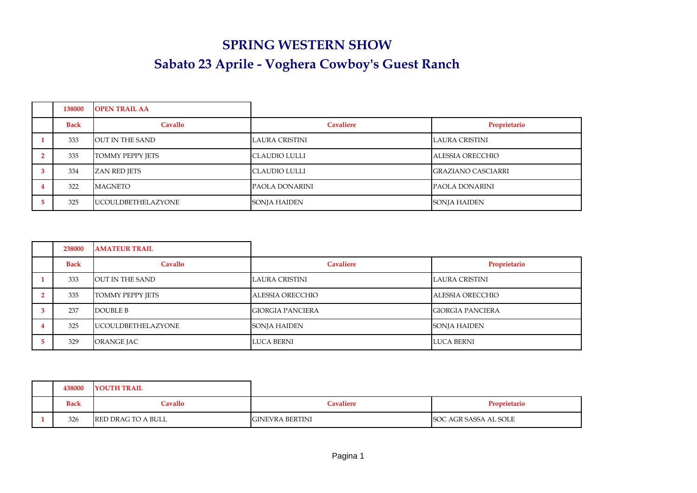## **SPRING WESTERN SHOW Sabato 23 Aprile - Voghera Cowboy's Guest Ranch**

| 138000      | <b>OPEN TRAIL AA</b>      |                       |                           |
|-------------|---------------------------|-----------------------|---------------------------|
| <b>Back</b> | Cavallo                   | <b>Cavaliere</b>      | Proprietario              |
| 333         | <b>OUT IN THE SAND</b>    | <b>LAURA CRISTINI</b> | LAURA CRISTINI            |
| 335         | <b>TOMMY PEPPY JETS</b>   | <b>CLAUDIO LULLI</b>  | ALESSIA ORECCHIO          |
| 334         | <b>ZAN RED JETS</b>       | <b>CLAUDIO LULLI</b>  | <b>GRAZIANO CASCIARRI</b> |
| 322         | MAGNETO                   | PAOLA DONARINI        | PAOLA DONARINI            |
| 325         | <b>UCOULDBETHELAZYONE</b> | SONJA HAIDEN          | SONJA HAIDEN              |

| 238000      | <b>AMATEUR TRAIL</b>       |                         |                         |
|-------------|----------------------------|-------------------------|-------------------------|
| <b>Back</b> | Cavallo                    | <b>Cavaliere</b>        | Proprietario            |
| 333         | OUT IN THE SAND            | LAURA CRISTINI          | LAURA CRISTINI          |
| 335         | <b>TOMMY PEPPY JETS</b>    | ALESSIA ORECCHIO        | ALESSIA ORECCHIO        |
| 237         | DOUBLE B                   | <b>GIORGIA PANCIERA</b> | <b>GIORGIA PANCIERA</b> |
| 325         | <b>IUCOULDBETHELAZYONE</b> | <b>SONJA HAIDEN</b>     | <b>SONJA HAIDEN</b>     |
| 329         | ORANGE JAC                 | <b>LUCA BERNI</b>       | <b>LUCA BERNI</b>       |

| 438000      | <b>YOUTH TRAIL</b> |                        |                       |
|-------------|--------------------|------------------------|-----------------------|
| <b>Back</b> | <b>Cavallo</b>     | <b>Cavaliere</b>       | Proprietario          |
| 326         | RED DRAG TO A BULL | <b>GINEVRA BERTINI</b> | SOC AGR SASSA AL SOLE |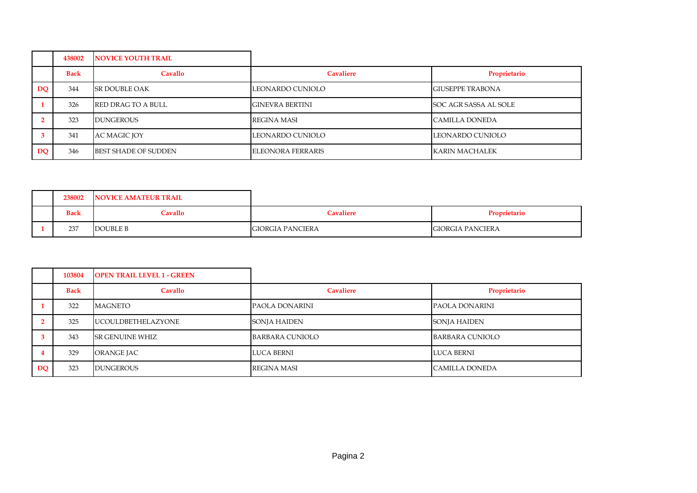|    | 438002      | <b>NOVICE YOUTH TRAIL</b>   |                          |                         |
|----|-------------|-----------------------------|--------------------------|-------------------------|
|    | <b>Back</b> | Cavallo                     | <b>Cavaliere</b>         | Proprietario            |
| DQ | 344         | <b>SR DOUBLE OAK</b>        | LEONARDO CUNIOLO         | <b>GIUSEPPE TRABONA</b> |
|    | 326         | <b>RED DRAG TO A BULL</b>   | <b>GINEVRA BERTINI</b>   | SOC AGR SASSA AL SOLE   |
|    | 323         | <b>DUNGEROUS</b>            | REGINA MASI              | <b>CAMILLA DONEDA</b>   |
|    | 341         | AC MAGIC JOY                | LEONARDO CUNIOLO         | LEONARDO CUNIOLO        |
| DQ | 346         | <b>BEST SHADE OF SUDDEN</b> | <b>ELEONORA FERRARIS</b> | KARIN MACHALEK          |

| 238002      | <b>NOVICE AMATEUR TRAIL</b> |                  |                         |
|-------------|-----------------------------|------------------|-------------------------|
| <b>Back</b> | Cavallo                     | <b>Cavaliere</b> | Proprietario            |
| 237         | DOUBLE B                    | GIORGIA PANCIERA | <b>GIORGIA PANCIERA</b> |

|           | 103804      | <b>OPEN TRAIL LEVEL 1 - GREEN</b> |                     |                       |
|-----------|-------------|-----------------------------------|---------------------|-----------------------|
|           | <b>Back</b> | Cavallo                           | <b>Cavaliere</b>    | Proprietario          |
|           | 322         | <b>MAGNETO</b>                    | PAOLA DONARINI      | <b>PAOLA DONARINI</b> |
|           | 325         | <b>IUCOULDBETHELAZYONE</b>        | <b>SONJA HAIDEN</b> | <b>SONJA HAIDEN</b>   |
|           | 343         | <b>SR GENUINE WHIZ</b>            | BARBARA CUNIOLO     | BARBARA CUNIOLO       |
|           | 329         | ORANGE JAC                        | LUCA BERNI          | LUCA BERNI            |
| <b>DO</b> | 323         | <b>DUNGEROUS</b>                  | <b>REGINA MASI</b>  | <b>CAMILLA DONEDA</b> |